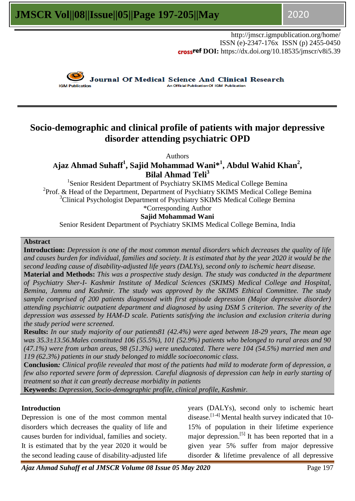http://jmscr.igmpublication.org/home/ ISSN (e)-2347-176x ISSN (p) 2455-0450 **crossref DOI:** https://dx.doi.org/10.18535/jmscr/v8i5.39



**Journal Of Medical Science And Clinical Research An Official Publication Of IGM Publication** 

## **Socio-demographic and clinical profile of patients with major depressive disorder attending psychiatric OPD**

Authors

**Ajaz Ahmad Suhaff<sup>1</sup> , Sajid Mohammad Wani\*<sup>1</sup> , Abdul Wahid Khan<sup>2</sup> , Bilal Ahmad Teli<sup>3</sup>**

<sup>1</sup>Senior Resident Department of Psychiatry SKIMS Medical College Bemina <sup>2</sup>Prof. & Head of the Department, Department of Psychiatry SKIMS Medical College Bemina <sup>3</sup>Clinical Psychologist Department of Psychiatry SKIMS Medical College Bemina \*Corresponding Author

**Sajid Mohammad Wani**

Senior Resident Department of Psychiatry SKIMS Medical College Bemina, India

#### **Abstract**

**Introduction:** *Depression is one of the most common mental disorders which decreases the quality of life and causes burden for individual, families and society. It is estimated that by the year 2020 it would be the second leading cause of disability-adjusted life years (DALYs), second only to ischemic heart disease.*

**Material and Methods:** *This was a prospective study design. The study was conducted in the department of Psychiatry Sher-I- Kashmir Institute of Medical Sciences (SKIMS) Medical College and Hospital, Bemina, Jammu and Kashmir. The study was approved by the SKIMS Ethical Committee. The study sample comprised of 200 patients diagnosed with first episode depression (Major depressive disorder) attending psychiatric outpatient department and diagnosed by using DSM 5 criterion. The severity of the depression was assessed by HAM-D scale. Patients satisfying the inclusion and exclusion criteria during the study period were screened.* 

**Results:** *In our study majority of our patients81 (42.4%) were aged between 18-29 years, The mean age was 35.3±13.56.Males constituted 106 (55.5%), 101 (52.9%) patients who belonged to rural areas and 90 (47.1%) were from urban areas, 98 (51.3%) were uneducated. There were 104 (54.5%) married men and 119 (62.3%) patients in our study belonged to middle socioeconomic class.*

**Conclusion***: Clinical profile revealed that most of the patients had mild to moderate form of depression, a few also reported severe form of depression. Careful diagnosis of depression can help in early starting of treatment so that it can greatly decrease morbidity in patients*

**Keywords:** *Depression, Socio-demographic profile, clinical profile, Kashmir.*

#### **Introduction**

Depression is one of the most common mental disorders which decreases the quality of life and causes burden for individual, families and society. It is estimated that by the year 2020 it would be the second leading cause of disability-adjusted life

years (DALYs), second only to ischemic heart disease.<sup>[1-4]</sup> Mental health survey indicated that 10-15% of population in their lifetime experience major depression.[5] It has been reported that in a given year 5% suffer from major depressive disorder & lifetime prevalence of all depressive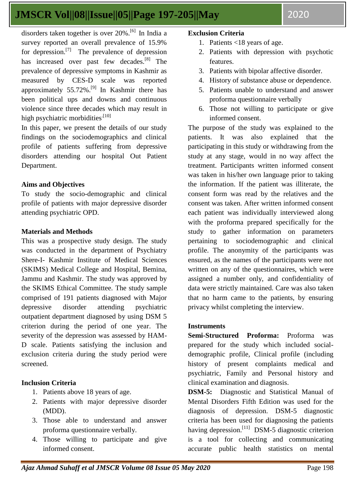disorders taken together is over 20%.[6] In India a survey reported an overall prevalence of 15.9% for depression.[7] The prevalence of depression has increased over past few decades.<sup>[8]</sup> The prevalence of depressive symptoms in Kashmir as measured by CES-D scale was reported approximately 55.72%.[9] In Kashmir there has been political ups and downs and continuous violence since three decades which may result in high psychiatric morbidities<sup>.[10]</sup>

In this paper, we present the details of our study findings on the sociodemographics and clinical profile of patients suffering from depressive disorders attending our hospital Out Patient Department.

#### **Aims and Objectives**

To study the socio-demographic and clinical profile of patients with major depressive disorder attending psychiatric OPD.

#### **Materials and Methods**

This was a prospective study design. The study was conducted in the department of Psychiatry Shere-I- Kashmir Institute of Medical Sciences (SKIMS) Medical College and Hospital, Bemina, Jammu and Kashmir. The study was approved by the SKIMS Ethical Committee. The study sample comprised of 191 patients diagnosed with Major depressive disorder attending psychiatric outpatient department diagnosed by using DSM 5 criterion during the period of one year. The severity of the depression was assessed by HAM-D scale. Patients satisfying the inclusion and exclusion criteria during the study period were screened.

#### **Inclusion Criteria**

- 1. Patients above 18 years of age.
- 2. Patients with major depressive disorder (MDD).
- 3. Those able to understand and answer proforma questionnaire verbally.
- 4. Those willing to participate and give informed consent.

#### **Exclusion Criteria**

- 1. Patients <18 years of age.
- 2. Patients with depression with psychotic features.
- 3. Patients with bipolar affective disorder.
- 4. History of substance abuse or dependence.
- 5. Patients unable to understand and answer proforma questionnaire verbally
- 6. Those not willing to participate or give informed consent.

The purpose of the study was explained to the patients. It was also explained that the participating in this study or withdrawing from the study at any stage, would in no way affect the treatment. Participants written informed consent was taken in his/her own language prior to taking the information. If the patient was illiterate, the consent form was read by the relatives and the consent was taken. After written informed consent each patient was individually interviewed along with the proforma prepared specifically for the study to gather information on parameters pertaining to sociodemographic and clinical profile. The anonymity of the participants was ensured, as the names of the participants were not written on any of the questionnaires, which were assigned a number only, and confidentiality of data were strictly maintained. Care was also taken that no harm came to the patients, by ensuring privacy whilst completing the interview.

#### **Instruments**

**Semi-Structured Proforma:** Proforma was prepared for the study which included socialdemographic profile, Clinical profile (including history of present complaints medical and psychiatric, Family and Personal history and clinical examination and diagnosis.

**DSM-5:** Diagnostic and Statistical Manual of Mental Disorders Fifth Edition was used for the diagnosis of depression. DSM-5 diagnostic criteria has been used for diagnosing the patients having depression.<sup>[11]</sup> DSM-5 diagnostic criterion is a tool for collecting and communicating accurate public health statistics on mental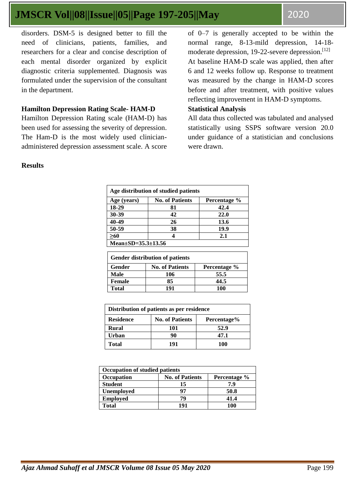disorders. DSM-5 is designed better to fill the need of clinicians, patients, families, and researchers for a clear and concise description of each mental disorder organized by explicit diagnostic criteria supplemented. Diagnosis was formulated under the supervision of the consultant in the department.

### **Hamilton Depression Rating Scale- HAM-D**

Hamilton Depression Rating scale (HAM-D) has been used for assessing the severity of depression. The Ham-D is the most widely used clinicianadministered depression assessment scale. A score of 0–7 is generally accepted to be within the normal range, 8-13-mild depression, 14-18 moderate depression, 19-22-severe depression. $^{[12]}$ At baseline HAM-D scale was applied, then after 6 and 12 weeks follow up. Response to treatment was measured by the change in HAM-D scores before and after treatment, with positive values reflecting improvement in HAM-D symptoms.

### **Statistical Analysis**

All data thus collected was tabulated and analysed statistically using SSPS software version 20.0 under guidance of a statistician and conclusions were drawn.

#### **Results**

| Age distribution of studied patients |                        |              |  |
|--------------------------------------|------------------------|--------------|--|
| Age (years)                          | <b>No. of Patients</b> | Percentage % |  |
| 18-29                                | 81                     | 42.4         |  |
| 30-39                                | 42                     | 22.0         |  |
| 40-49                                | 26                     | 13.6         |  |
| 50-59                                | 38                     | 19.9         |  |
| >60                                  |                        | 2.1          |  |
| Mean $\pm$ SD=35.3 $\pm$ 13.56       |                        |              |  |

| <b>Gender distribution of patients</b> |                        |              |  |
|----------------------------------------|------------------------|--------------|--|
| Gender                                 | <b>No. of Patients</b> | Percentage % |  |
| Male                                   | 106                    | 55.5         |  |
| <b>Female</b>                          | 85                     | 44.5         |  |
| <b>Total</b>                           | 191                    | 100          |  |

| Distribution of patients as per residence |                                       |      |  |  |  |
|-------------------------------------------|---------------------------------------|------|--|--|--|
| <b>Residence</b>                          | <b>No. of Patients</b><br>Percentage% |      |  |  |  |
| <b>Rural</b>                              | 101                                   | 52.9 |  |  |  |
| <b>Urban</b>                              | 90                                    | 47.1 |  |  |  |
| <b>Total</b>                              | 191                                   | 100  |  |  |  |

| <b>Occupation of studied patients</b> |                        |              |  |
|---------------------------------------|------------------------|--------------|--|
| Occupation                            | <b>No. of Patients</b> | Percentage % |  |
| <b>Student</b>                        | 15                     | 7.9          |  |
| <b>Unemployed</b>                     | 97                     | 50.8         |  |
| <b>Employed</b>                       | 79                     | 41.4         |  |
| Total                                 | 101                    | 100          |  |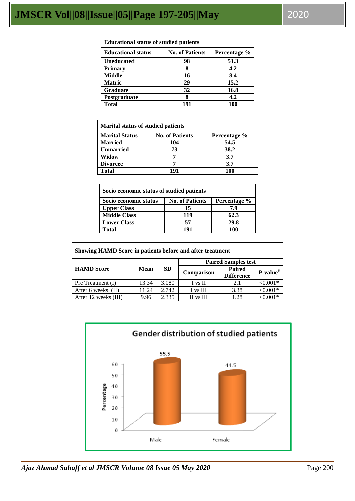| <b>Educational status of studied patients</b> |                        |              |  |
|-----------------------------------------------|------------------------|--------------|--|
| <b>Educational status</b>                     | <b>No. of Patients</b> | Percentage % |  |
| <b>Uneducated</b>                             | 98                     | 51.3         |  |
| <b>Primary</b>                                |                        | 4.2          |  |
| <b>Middle</b>                                 | 16                     | 8.4          |  |
| <b>Matric</b>                                 | 29                     | 15.2         |  |
| <b>Graduate</b>                               | 32                     | 16.8         |  |
| Postgraduate                                  |                        | 4.2          |  |
| <b>Total</b>                                  | 191                    | 100          |  |

| <b>Marital status of studied patients</b> |                        |              |  |
|-------------------------------------------|------------------------|--------------|--|
| <b>Marital Status</b>                     | <b>No. of Patients</b> | Percentage % |  |
| <b>Married</b>                            | 104                    | 54.5         |  |
| <b>Unmarried</b>                          | 73                     | 38.2         |  |
| Widow                                     |                        | 3.7          |  |
| <b>Divorcee</b>                           |                        | 3.7          |  |
| Total                                     | 191                    | 100          |  |

| Socio economic status of studied patients |                        |              |  |
|-------------------------------------------|------------------------|--------------|--|
| Socio economic status                     | <b>No. of Patients</b> | Percentage % |  |
| <b>Upper Class</b>                        | 15                     | 7.9          |  |
| <b>Middle Class</b>                       | 119                    | 62.3         |  |
| <b>Lower Class</b>                        | 57                     | 29.8         |  |
| <b>Total</b>                              | 191                    | 100          |  |

| Showing HAMD Score in patients before and after treatment |       |           |                            |                                    |            |
|-----------------------------------------------------------|-------|-----------|----------------------------|------------------------------------|------------|
| <b>HAMD</b> Score                                         |       | <b>SD</b> | <b>Paired Samples test</b> |                                    |            |
|                                                           | Mean  |           | Comparison                 | <b>Paired</b><br><b>Difference</b> | $P-value§$ |
| Pre Treatment (I)                                         | 13.34 | 3.080     | I vs II                    | 2.1                                | $< 0.001*$ |
| After 6 weeks (II)                                        | 11.24 | 2.742     | I vs III                   | 3.38                               | $< 0.001*$ |
| After 12 weeks (III)                                      | 9.96  | 2.335     | II vs III                  | 1.28                               | $< 0.001*$ |

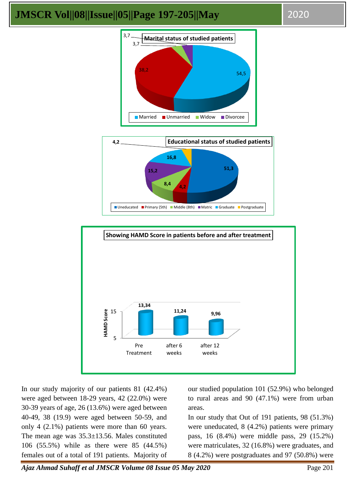





In our study majority of our patients 81 (42.4%) were aged between 18-29 years, 42 (22.0%) were 30-39 years of age, 26 (13.6%) were aged between 40-49, 38 (19.9) were aged between 50-59, and only 4 (2.1%) patients were more than 60 years. The mean age was 35.3±13.56. Males constituted 106 (55.5%) while as there were 85 (44.5%) females out of a total of 191 patients. Majority of our studied population 101 (52.9%) who belonged to rural areas and 90 (47.1%) were from urban areas.

In our study that Out of 191 patients, 98 (51.3%) were uneducated, 8 (4.2%) patients were primary pass, 16 (8.4%) were middle pass, 29 (15.2%) were matriculates, 32 (16.8%) were graduates, and 8 (4.2%) were postgraduates and 97 (50.8%) were

*Ajaz Ahmad Suhaff et al JMSCR Volume 08 Issue 05 May 2020* Page 201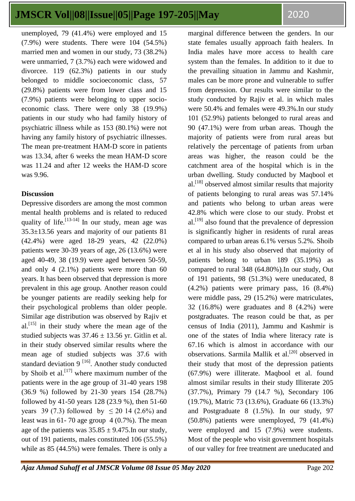unemployed, 79 (41.4%) were employed and 15 (7.9%) were students. There were 104 (54.5%) married men and women in our study, 73 (38.2%) were unmarried, 7 (3.7%) each were widowed and divorcee. 119 (62.3%) patients in our study belonged to middle socioeconomic class, 57 (29.8%) patients were from lower class and 15 (7.9%) patients were belonging to upper socioeconomic class. There were only 38 (19.9%) patients in our study who had family history of psychiatric illness while as 153 (80.1%) were not having any family history of psychiatric illnesses. The mean pre-treatment HAM-D score in patients was 13.34, after 6 weeks the mean HAM-D score was 11.24 and after 12 weeks the HAM-D score was 9.96.

### **Discussion**

Depressive disorders are among the most common mental health problems and is related to reduced quality of life.<sup>[13-14]</sup> In our study, mean age was 35.3±13.56 years and majority of our patients 81 (42.4%) were aged 18-29 years, 42 (22.0%) patients were 30-39 years of age, 26 (13.6%) were aged 40-49, 38 (19.9) were aged between 50-59, and only 4 (2.1%) patients were more than 60 years. It has been observed that depression is more prevalent in this age group. Another reason could be younger patients are readily seeking help for their psychological problems than older people. Similar age distribution was observed by Rajiv et  $al.$ <sup>[15]</sup> in their study where the mean age of the studied subjects was  $37.46 \pm 13.56$  yr. Gitlin et al. in their study observed similar results where the mean age of studied subjects was 37.6 with standard deviation 9  $[16]$ . Another study conducted by Shoib et al.<sup>[17]</sup> where maximum number of the patients were in the age group of 31-40 years 198 (36.9 %) followed by 21-30 years 154 (28.7%) followed by 41-50 years 128 (23.9 %), then 51-60 years 39 (7.3) followed by  $\leq 20$  14 (2.6%) and least was in 61-70 age group  $4(0.7\%)$ . The mean age of the patients was  $35.85 \pm 9.475$ . In our study, out of 191 patients, males constituted 106 (55.5%) while as 85 (44.5%) were females. There is only a marginal difference between the genders. In our state females usually approach faith healers. In India males have more access to health care system than the females. In addition to it due to the prevailing situation in Jammu and Kashmir, males can be more prone and vulnerable to suffer from depression. Our results were similar to the study conducted by Rajiv et al. in which males were 50.4% and females were 49.3%.In our study 101 (52.9%) patients belonged to rural areas and 90 (47.1%) were from urban areas. Though the majority of patients were from rural areas but relatively the percentage of patients from urban areas was higher, the reason could be the catchment area of the hospital which is in the urban dwelling. Study conducted by Maqbool et al.<sup>[18]</sup> observed almost similar results that majority of patients belonging to rural areas was 57.14% and patients who belong to urban areas were 42.8% which were close to our study. [Probst](http://www.ncbi.nlm.nih.gov/pubmed/?term=Probst%20JC%5BAuthor%5D&cauthor=true&cauthor_uid=17009190) et  $al.<sup>[19]</sup>$  also found that the prevalence of depression is significantly higher in residents of rural areas compared to urban areas 6.1% versus 5.2%. Shoib et al in his study also observed that majority of patients belong to urban 189 (35.19%) as compared to rural 348 (64.80%).In our study, Out of 191 patients, 98 (51.3%) were uneducated, 8 (4.2%) patients were primary pass, 16 (8.4%) were middle pass, 29 (15.2%) were matriculates, 32 (16.8%) were graduates and 8 (4.2%) were postgraduates. The reason could be that, as per census of India (2011), Jammu and Kashmir is one of the states of India where literacy rate is 67.16 which is almost in accordance with our observations. Sarmila Mallik et al.<sup>[20]</sup> observed in their study that most of the depression patients (67.9%) were illiterate. Maqbool et al. found almost similar results in their study Illiterate 205 (37.7%), Primary 79 (14.7 %), Secondary 106 (19.7%), Matric 73 (13.6%), Graduate 66 (13.3%) and Postgraduate 8 (1.5%). In our study, 97 (50.8%) patients were unemployed, 79 (41.4%) were employed and 15 (7.9%) were students. Most of the people who visit government hospitals of our valley for free treatment are uneducated and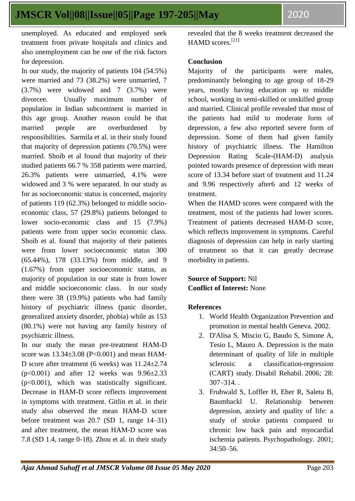unemployed. As educated and employed seek treatment from private hospitals and clinics and also unemployment can be one of the risk factors for depression.

In our study, the majority of patients 104 (54.5%) were married and 73 (38.2%) were unmarried, 7 (3.7%) were widowed and 7 (3.7%) were divorcee. Usually maximum number of population in Indian subcontinent is married in this age group. Another reason could be that married people are overburdened by responsibilities. Sarmila et al. in their study found that majority of depression patients (70.5%) were married. Shoib et al found that majority of their studied patients 66.7 % 358 patients were married, 26.3% patients were unmarried, 4.1% were widowed and 3 % were separated. In our study as for as socioeconomic status is concerned, majority of patients 119 (62.3%) belonged to middle socioeconomic class, 57 (29.8%) patients belonged to lower socio-economic class and 15 (7.9%) patients were from upper socio economic class. Shoib et al. found that majority of their patients were from lower socioeconomic status 300 (65.44%), 178 (33.13%) from middle, and 9 (1.67%) from upper socioeconomic status, as majority of population in our state is from lower and middle socioeconomic class. In our study there were 38 (19.9%) patients who had family history of psychiatric illness (panic disorder, generalized anxiety disorder, phobia) while as 153 (80.1%) were not having any family history of psychiatric illness.

In our study the mean pre-treatment HAM-D score was  $13.34 \pm 3.08$  (P<0.001) and mean HAM-D score after treatment (6 weeks) was 11.24±2.74  $(p<0.001)$  and after 12 weeks was  $9.96\pm2.33$ (p<0.001), which was statistically significant. Decrease in HAM-D score reflects improvement in symptoms with treatment. Gitlin et al. in their study also observed the mean HAM-D score before treatment was 20.7 (SD 1, range 14–31) and after treatment, the mean HAM-D score was 7.8 (SD 1.4, range 0-18). [Zhou](javascript:void(0);) et al. in their study

revealed that the 8 weeks treatment decreased the HAMD scores.<sup>[21]</sup>

### **Conclusion**

Majority of the participants were males, predominantly belonging to age group of 18-29 years, mostly having education up to middle school, working in semi-skilled or unskilled group and married. Clinical profile revealed that most of the patients had mild to moderate form of depression, a few also reported severe form of depression. Some of them had given family history of psychiatric illness. The Hamilton Depression Rating Scale-(HAM-D) analysis pointed towards presence of depression with mean score of 13.34 before start of treatment and 11.24 and 9.96 respectively after6 and 12 weeks of treatment.

When the HAMD scores were compared with the treatment, most of the patients had lower scores. Treatment of patients decreased HAM-D score, which reflects improvement in symptoms. Careful diagnosis of depression can help in early starting of treatment so that it can greatly decrease morbidity in patients.

## **Source of Support:** Nil **Conflict of Interest:** None

#### **References**

- 1. World Health Organization Prevention and promotion in mental health Geneva. 2002.
- 2. D'Alisa S, Miscio G, Baudo S, Simone A, Tesio L, Mauro A. Depression is the main determinant of quality of life in multiple sclerosis: a classification-regression (CART) study. Disabil Rehabil. 2006; 28: 307–314. .
- 3. Fruhwald S, Loffler H, Eher R, Saletu B, Baumhackl U. Relationship between depression, anxiety and quality of life: a study of stroke patients compared to chronic low back pain and myocardial ischemia patients. Psychopathology. 2001; 34:50–56.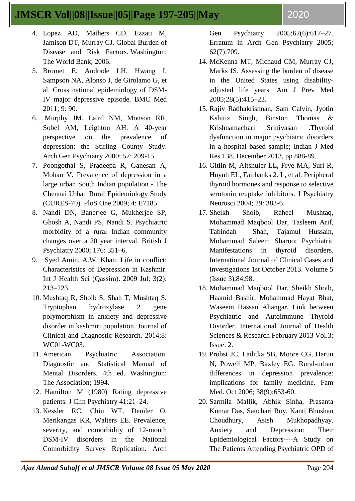- 4. Lopez AD, Mathers CD, Ezzati M, Jamison DT, Murray CJ. Global Burden of Disease and Risk Factors. Washington: The World Bank; 2006.
- 5. Bromet E, Andrade LH, Hwang I, Sampson NA, Alonso J, de Girolamo G, et al. Cross national epidemiology of DSM-IV major depressive episode. BMC Med 2011; 9: 90.
- 6. Murphy JM, Laird NM, Monson RR, Sobel AM, Leighton AH. A 40-year perspective on the prevalence of depression: the Stirling County Study. Arch Gen Psychiatry 2000; 57: 209-15.
- 7. Poongothai S, Pradeepa R, Ganesan A, Mohan V. Prevalence of depression in a large urban South Indian population - The Chennai Urban Rural Epidemiology Study (CURES-70). PloS One 2009; 4: E7185.
- 8. Nandi DN, Banerjee G, Mukherjee SP, Ghosh A, Nandi PS, Nandi S. Psychiatric morbidity of a rural Indian community changes over a 20 year interval. British J Psychiatry 2000; 176: 351–6.
- 9. Syed Amin, A.W. Khan. Life in conflict: Characteristics of Depression in Kashmir. Int J Health Sci (Qassim). 2009 Jul; 3(2): 213–223.
- 10. Mushtaq R, Shoib S, Shah T, Mushtaq S. Tryptophan hydroxylase 2 gene polymorphism in anxiety and depressive disorder in kashmiri population. Journal of Clinical and Diagnostic Research. 2014;8: WC01-WC03.
- 11. American Psychiatric Association. Diagnostic and Statistical Manual of Mental Disorders. 4th ed. Washington: The Association; 1994.
- 12. Hamilton M (1980) Rating depressive patients. J Clin Psychiatry 41:21–24.
- 13. Kessler RC, Chiu WT, Demler O, Merikangas KR, Walters EE. Prevalence, severity, and comorbidity of 12-month DSM-IV disorders in the National Comorbidity Survey Replication. Arch

Gen Psychiatry 2005;62(6):617–27. Erratum in Arch Gen Psychiatry 2005; 62(7):709.

- 14. McKenna MT, Michaud CM, Murray CJ, Marks JS. Assessing the burden of disease in the United States using disabilityadjusted life years. Am J Prev Med 2005;28(5):415–23.
- 15. Rajiv Radhakrishnan, Sam Calvin, Jyotin Kshitiz Singh, Binston Thomas & Krishnamachari Srinivasan .Thyroid dysfunction in major psychiatric disorders in a hospital based sample; Indian J Med Res 138, December 2013, pp 888-89.
- 16. Gitlin M, Altshuler LL, Frye MA, Suri R, Huynh EL, Fairbanks 2. L, et al. Peripheral thyroid hormones and response to selective serotonin reuptake inhibitors. J Psychiatry Neurosci 2004; 29: 383-6.
- 17. Sheikh Shoib, Raheel Mushtaq, Mohammad Maqbool Dar, Tasleem Arif, Tabindah Shah, Tajamul Hussain, Mohammad Saleem Sharoo; Psychiatric Manifestations in thyroid disorders. International Journal of Clinical Cases and Investigations 1st October 2013. Volume 5 (Issue 3),84:98.
- 18. Mohammad Maqbool Dar, Sheikh Shoib, Haamid Bashir, Mohammad Hayat Bhat, Waseem Hassan Ahangar. Link between Psychiatric and Autoimmune Thyroid Disorder. International Journal of Health Sciences & Research February 2013 Vol.3; Issue: 2.
- 19. Probst JC, Laditka SB, Moore CG, Harun N, Powell MP, Baxley EG. Rural-urban differences in depression prevalence: implications for family medicine. Fam Med. Oct 2006; 38(9):653-60.
- 20. Sarmila Mallik, Abhik Sinha, Prasanta Kumar Das, Sanchari Roy, Kanti Bhushan Choudhury, Asish Mukhopadhyay. Anxiety and Depression: Their Epidemiological Factors----A Study on The Patients Attending Psychiatric OPD of